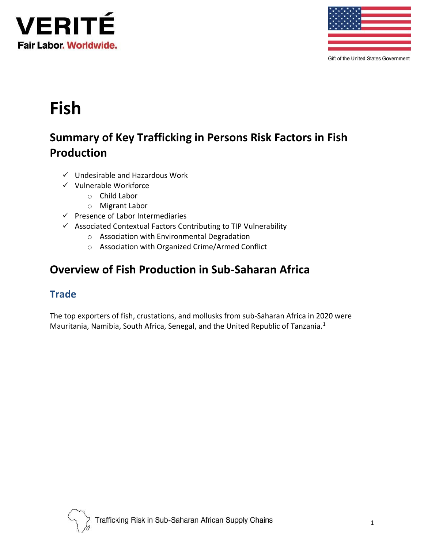



Gift of the United States Government

# **Fish**

# **Summary of Key Trafficking in Persons Risk Factors in Fish Production**

- ✓ Undesirable and Hazardous Work
- ✓ Vulnerable Workforce
	- o Child Labor
	- o Migrant Labor
- ✓ Presence of Labor Intermediaries
- ✓ Associated Contextual Factors Contributing to TIP Vulnerability
	- o Association with Environmental Degradation
	- o Association with Organized Crime/Armed Conflict

## **Overview of Fish Production in Sub-Saharan Africa**

#### **Trade**

The top exporters of fish, crustations, and mollusks from sub-Saharan Africa in 2020 were Mauritania, Namibia, South Africa, Senegal, and the United Republic of Tanzania.<sup>1</sup>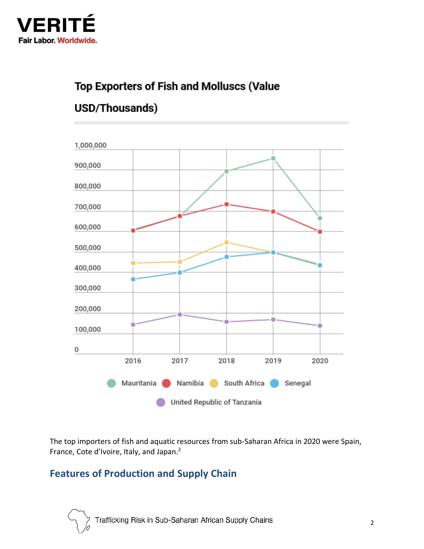

## **Top Exporters of Fish and Molluscs (Value**

## USD/Thousands)



The top importers of fish and aquatic resources from sub-Saharan Africa in 2020 were Spain, France, Cote d'Ivoire, Italy, and Japan.<sup>2</sup>

## **Features of Production and Supply Chain**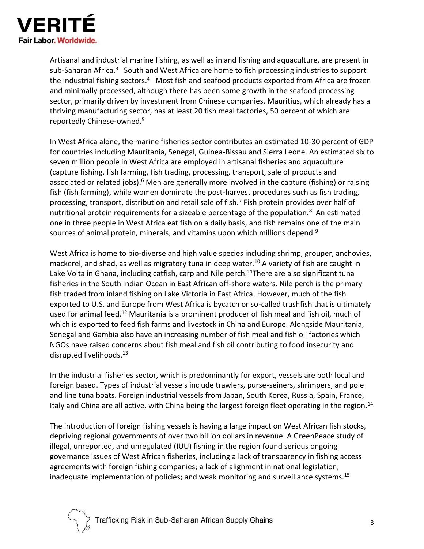

Artisanal and industrial marine fishing, as well as inland fishing and aquaculture, are present in sub-Saharan Africa.<sup>3</sup> South and West Africa are home to fish processing industries to support the industrial fishing sectors.<sup>4</sup> Most fish and seafood products exported from Africa are frozen and minimally processed, although there has been some growth in the seafood processing sector, primarily driven by investment from Chinese companies. Mauritius, which already has a thriving manufacturing sector, has at least 20 fish meal factories, 50 percent of which are reportedly Chinese-owned.<sup>5</sup>

In West Africa alone, the marine fisheries sector contributes an estimated 10-30 percent of GDP for countries including Mauritania, Senegal, Guinea-Bissau and Sierra Leone. An estimated six to seven million people in West Africa are employed in artisanal fisheries and aquaculture (capture fishing, fish farming, fish trading, processing, transport, sale of products and associated or related jobs).<sup>6</sup> Men are generally more involved in the capture (fishing) or raising fish (fish farming), while women dominate the post-harvest procedures such as fish trading, processing, transport, distribution and retail sale of fish.<sup>7</sup> Fish protein provides over half of nutritional protein requirements for a sizeable percentage of the population.<sup>8</sup> An estimated one in three people in West Africa eat fish on a daily basis, and fish remains one of the main sources of animal protein, minerals, and vitamins upon which millions depend.<sup>9</sup>

West Africa is home to bio-diverse and high value species including shrimp, grouper, anchovies, mackerel, and shad, as well as migratory tuna in deep water.<sup>10</sup> A variety of fish are caught in Lake Volta in Ghana, including catfish, carp and Nile perch.<sup>11</sup>There are also significant tuna fisheries in the South Indian Ocean in East African off-shore waters. Nile perch is the primary fish traded from inland fishing on Lake Victoria in East Africa. However, much of the fish exported to U.S. and Europe from West Africa is bycatch or so-called trashfish that is ultimately used for animal feed.<sup>12</sup> Mauritania is a prominent producer of fish meal and fish oil, much of which is exported to feed fish farms and livestock in China and Europe. Alongside Mauritania, Senegal and Gambia also have an increasing number of fish meal and fish oil factories which NGOs have raised concerns about fish meal and fish oil contributing to food insecurity and disrupted livelihoods.<sup>13</sup>

In the industrial fisheries sector, which is predominantly for export, vessels are both local and foreign based. Types of industrial vessels include trawlers, purse-seiners, shrimpers, and pole and line tuna boats. Foreign industrial vessels from Japan, South Korea, Russia, Spain, France, Italy and China are all active, with China being the largest foreign fleet operating in the region.<sup>14</sup>

The introduction of foreign fishing vessels is having a large impact on West African fish stocks, depriving regional governments of over two billion dollars in revenue. A GreenPeace study of illegal, unreported, and unregulated (IUU) fishing in the region found serious ongoing governance issues of West African fisheries, including a lack of transparency in fishing access agreements with foreign fishing companies; a lack of alignment in national legislation; inadequate implementation of policies; and weak monitoring and surveillance systems.<sup>15</sup>

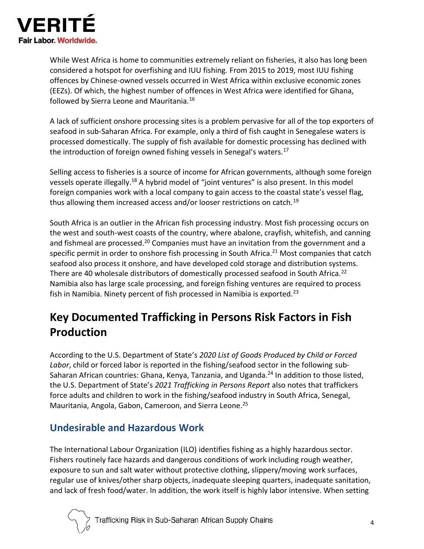

While West Africa is home to communities extremely reliant on fisheries, it also has long been considered a hotspot for overfishing and IUU fishing. From 2015 to 2019, most IUU fishing offences by Chinese-owned vessels occurred in West Africa within exclusive economic zones (EEZs). Of which, the highest number of offences in West Africa were identified for Ghana, followed by Sierra Leone and Mauritania.<sup>16</sup>

A lack of sufficient onshore processing sites is a problem pervasive for all of the top exporters of seafood in sub-Saharan Africa. For example, only a third of fish caught in Senegalese waters is processed domestically. The supply of fish available for domestic processing has declined with the introduction of foreign owned fishing vessels in Senegal's waters.<sup>17</sup>

Selling access to fisheries is a source of income for African governments, although some foreign vessels operate illegally.<sup>18</sup> A hybrid model of "joint ventures" is also present. In this model foreign companies work with a local company to gain access to the coastal state's vessel flag, thus allowing them increased access and/or looser restrictions on catch.<sup>19</sup>

South Africa is an outlier in the African fish processing industry. Most fish processing occurs on the west and south-west coasts of the country, where abalone, crayfish, whitefish, and canning and fishmeal are processed.<sup>20</sup> Companies must have an invitation from the government and a specific permit in order to onshore fish processing in South Africa.<sup>21</sup> Most companies that catch seafood also process it onshore, and have developed cold storage and distribution systems. There are 40 wholesale distributors of domestically processed seafood in South Africa.<sup>22</sup> Namibia also has large scale processing, and foreign fishing ventures are required to process fish in Namibia. Ninety percent of fish processed in Namibia is exported.<sup>23</sup>

# **Key Documented Trafficking in Persons Risk Factors in Fish Production**

According to the U.S. Department of State's *2020 List of Goods Produced by Child or Forced Labor*, child or forced labor is reported in the fishing/seafood sector in the following sub-Saharan African countries: Ghana, Kenya, Tanzania, and Uganda.<sup>24</sup> In addition to those listed, the U.S. Department of State's *2021 Trafficking in Persons Report* also notes that traffickers force adults and children to work in the fishing/seafood industry in South Africa, Senegal, Mauritania, Angola, Gabon, Cameroon, and Sierra Leone.<sup>25</sup>

#### **Undesirable and Hazardous Work**

The International Labour Organization (ILO) identifies fishing as a highly hazardous sector. Fishers routinely face hazards and dangerous conditions of work including rough weather, exposure to sun and salt water without protective clothing, slippery/moving work surfaces, regular use of knives/other sharp objects, inadequate sleeping quarters, inadequate sanitation, and lack of fresh food/water. In addition, the work itself is highly labor intensive. When setting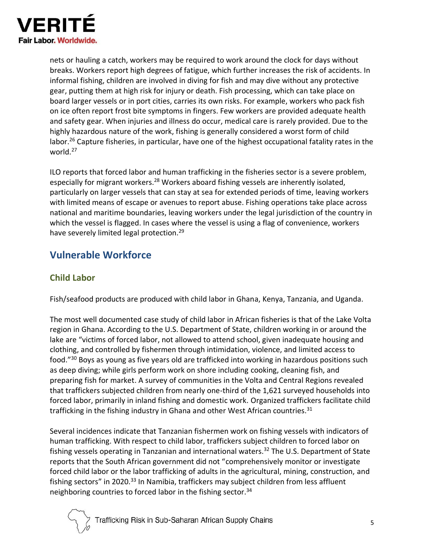

nets or hauling a catch, workers may be required to work around the clock for days without breaks. Workers report high degrees of fatigue, which further increases the risk of accidents. In informal fishing, children are involved in diving for fish and may dive without any protective gear, putting them at high risk for injury or death. Fish processing, which can take place on board larger vessels or in port cities, carries its own risks. For example, workers who pack fish on ice often report frost bite symptoms in fingers. Few workers are provided adequate health and safety gear. When injuries and illness do occur, medical care is rarely provided. Due to the highly hazardous nature of the work, fishing is generally considered a worst form of child labor.<sup>26</sup> Capture fisheries, in particular, have one of the highest occupational fatality rates in the world.<sup>27</sup>

ILO reports that forced labor and human trafficking in the fisheries sector is a severe problem, especially for migrant workers.<sup>28</sup> Workers aboard fishing vessels are inherently isolated, particularly on larger vessels that can stay at sea for extended periods of time, leaving workers with limited means of escape or avenues to report abuse. Fishing operations take place across national and maritime boundaries, leaving workers under the legal jurisdiction of the country in which the vessel is flagged. In cases where the vessel is using a flag of convenience, workers have severely limited legal protection.<sup>29</sup>

## **Vulnerable Workforce**

#### **Child Labor**

Fish/seafood products are produced with child labor in Ghana, Kenya, Tanzania, and Uganda.

The most well documented case study of child labor in African fisheries is that of the Lake Volta region in Ghana. According to the U.S. Department of State, children working in or around the lake are "victims of forced labor, not allowed to attend school, given inadequate housing and clothing, and controlled by fishermen through intimidation, violence, and limited access to food." <sup>30</sup> Boys as young as five years old are trafficked into working in hazardous positions such as deep diving; while girls perform work on shore including cooking, cleaning fish, and preparing fish for market. A survey of communities in the Volta and Central Regions revealed that traffickers subjected children from nearly one-third of the 1,621 surveyed households into forced labor, primarily in inland fishing and domestic work. Organized traffickers facilitate child trafficking in the fishing industry in Ghana and other West African countries. $31$ 

Several incidences indicate that Tanzanian fishermen work on fishing vessels with indicators of human trafficking. With respect to child labor, traffickers subject children to forced labor on fishing vessels operating in Tanzanian and international waters.<sup>32</sup> The U.S. Department of State reports that the South African government did not "comprehensively monitor or investigate forced child labor or the labor trafficking of adults in the agricultural, mining, construction, and fishing sectors" in 2020.<sup>33</sup> In Namibia, traffickers may subject children from less affluent neighboring countries to forced labor in the fishing sector.<sup>34</sup>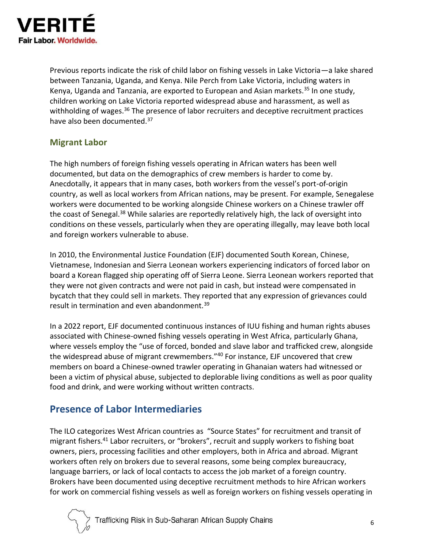

Previous reports indicate the risk of child labor on fishing vessels in Lake Victoria—a lake shared between Tanzania, Uganda, and Kenya. Nile Perch from Lake Victoria, including waters in Kenya, Uganda and Tanzania, are exported to European and Asian markets.<sup>35</sup> In one study, children working on Lake Victoria reported widespread abuse and harassment, as well as withholding of wages.<sup>36</sup> The presence of labor recruiters and deceptive recruitment practices have also been documented.<sup>37</sup>

#### **Migrant Labor**

The high numbers of foreign fishing vessels operating in African waters has been well documented, but data on the demographics of crew members is harder to come by. Anecdotally, it appears that in many cases, both workers from the vessel's port-of-origin country, as well as local workers from African nations, may be present. For example, Senegalese workers were documented to be working alongside Chinese workers on a Chinese trawler off the coast of Senegal.<sup>38</sup> While salaries are reportedly relatively high, the lack of oversight into conditions on these vessels, particularly when they are operating illegally, may leave both local and foreign workers vulnerable to abuse.

In 2010, the Environmental Justice Foundation (EJF) documented South Korean, Chinese, Vietnamese, Indonesian and Sierra Leonean workers experiencing indicators of forced labor on board a Korean flagged ship operating off of Sierra Leone. Sierra Leonean workers reported that they were not given contracts and were not paid in cash, but instead were compensated in bycatch that they could sell in markets. They reported that any expression of grievances could result in termination and even abandonment.<sup>39</sup>

In a 2022 report, EJF documented continuous instances of IUU fishing and human rights abuses associated with Chinese-owned fishing vessels operating in West Africa, particularly Ghana, where vessels employ the "use of forced, bonded and slave labor and trafficked crew, alongside the widespread abuse of migrant crewmembers."40 For instance, EJF uncovered that crew members on board a Chinese-owned trawler operating in Ghanaian waters had witnessed or been a victim of physical abuse, subjected to deplorable living conditions as well as poor quality food and drink, and were working without written contracts.

#### **Presence of Labor Intermediaries**

The ILO categorizes West African countries as "Source States" for recruitment and transit of migrant fishers.<sup>41</sup> Labor recruiters, or "brokers", recruit and supply workers to fishing boat owners, piers, processing facilities and other employers, both in Africa and abroad. Migrant workers often rely on brokers due to several reasons, some being complex bureaucracy, language barriers, or lack of local contacts to access the job market of a foreign country. Brokers have been documented using deceptive recruitment methods to hire African workers for work on commercial fishing vessels as well as foreign workers on fishing vessels operating in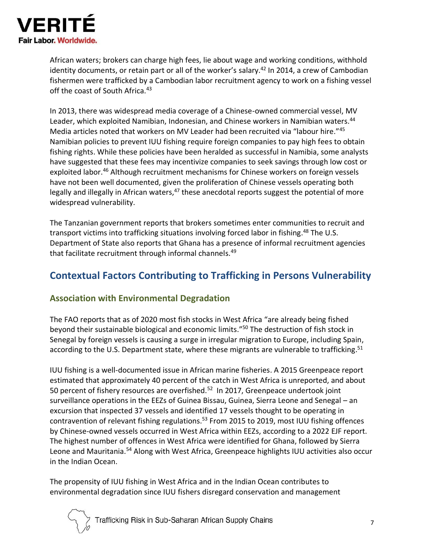

African waters; brokers can charge high fees, lie about wage and working conditions, withhold identity documents, or retain part or all of the worker's salary.<sup>42</sup> In 2014, a crew of Cambodian fishermen were trafficked by a Cambodian labor recruitment agency to work on a fishing vessel off the coast of South Africa.<sup>43</sup>

In 2013, there was widespread media coverage of a Chinese-owned commercial vessel, MV Leader, which exploited Namibian, Indonesian, and Chinese workers in Namibian waters.<sup>44</sup> Media articles noted that workers on MV Leader had been recruited via "labour hire."<sup>45</sup> Namibian policies to prevent IUU fishing require foreign companies to pay high fees to obtain fishing rights. While these policies have been heralded as successful in Namibia, some analysts have suggested that these fees may incentivize companies to seek savings through low cost or exploited labor.<sup>46</sup> Although recruitment mechanisms for Chinese workers on foreign vessels have not been well documented, given the proliferation of Chinese vessels operating both legally and illegally in African waters,<sup>47</sup> these anecdotal reports suggest the potential of more widespread vulnerability.

The Tanzanian government reports that brokers sometimes enter communities to recruit and transport victims into trafficking situations involving forced labor in fishing. <sup>48</sup> The U.S. Department of State also reports that Ghana has a presence of informal recruitment agencies that facilitate recruitment through informal channels.<sup>49</sup>

### **Contextual Factors Contributing to Trafficking in Persons Vulnerability**

#### **Association with Environmental Degradation**

The FAO reports that as of 2020 most fish stocks in West Africa "are already being fished beyond their sustainable biological and economic limits."<sup>50</sup> The destruction of fish stock in Senegal by foreign vessels is causing a surge in irregular migration to Europe, including Spain, according to the U.S. Department state, where these migrants are vulnerable to trafficking.<sup>51</sup>

IUU fishing is a well-documented issue in African marine fisheries. A 2015 Greenpeace report estimated that approximately 40 percent of the catch in West Africa is unreported, and about 50 percent of fishery resources are overfished.<sup>52</sup> In 2017, Greenpeace undertook joint surveillance operations in the EEZs of Guinea Bissau, Guinea, Sierra Leone and Senegal – an excursion that inspected 37 vessels and identified 17 vessels thought to be operating in contravention of relevant fishing regulations.<sup>53</sup> From 2015 to 2019, most IUU fishing offences by Chinese-owned vessels occurred in West Africa within EEZs, according to a 2022 EJF report. The highest number of offences in West Africa were identified for Ghana, followed by Sierra Leone and Mauritania.<sup>54</sup> Along with West Africa, Greenpeace highlights IUU activities also occur in the Indian Ocean.

The propensity of IUU fishing in West Africa and in the Indian Ocean contributes to environmental degradation since IUU fishers disregard conservation and management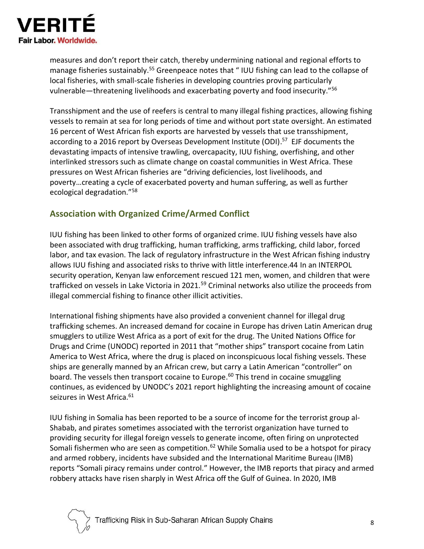

measures and don't report their catch, thereby undermining national and regional efforts to manage fisheries sustainably.<sup>55</sup> Greenpeace notes that "IUU fishing can lead to the collapse of local fisheries, with small-scale fisheries in developing countries proving particularly vulnerable—threatening livelihoods and exacerbating poverty and food insecurity."<sup>56</sup>

Transshipment and the use of reefers is central to many illegal fishing practices, allowing fishing vessels to remain at sea for long periods of time and without port state oversight. An estimated 16 percent of West African fish exports are harvested by vessels that use transshipment, according to a 2016 report by Overseas Development Institute (ODI).<sup>57</sup> EJF documents the devastating impacts of intensive trawling, overcapacity, IUU fishing, overfishing, and other interlinked stressors such as climate change on coastal communities in West Africa. These pressures on West African fisheries are "driving deficiencies, lost livelihoods, and poverty…creating a cycle of exacerbated poverty and human suffering, as well as further ecological degradation."<sup>58</sup>

#### **Association with Organized Crime/Armed Conflict**

IUU fishing has been linked to other forms of organized crime. IUU fishing vessels have also been associated with drug trafficking, human trafficking, arms trafficking, child labor, forced labor, and tax evasion. The lack of regulatory infrastructure in the West African fishing industry allows IUU fishing and associated risks to thrive with little interference.44 In an INTERPOL security operation, Kenyan law enforcement rescued 121 men, women, and children that were trafficked on vessels in Lake Victoria in 2021.<sup>59</sup> Criminal networks also utilize the proceeds from illegal commercial fishing to finance other illicit activities.

International fishing shipments have also provided a convenient channel for illegal drug trafficking schemes. An increased demand for cocaine in Europe has driven Latin American drug smugglers to utilize West Africa as a port of exit for the drug. The United Nations Office for Drugs and Crime (UNODC) reported in 2011 that "mother ships" transport cocaine from Latin America to West Africa, where the drug is placed on inconspicuous local fishing vessels. These ships are generally manned by an African crew, but carry a Latin American "controller" on board. The vessels then transport cocaine to Europe.<sup>60</sup> This trend in cocaine smuggling continues, as evidenced by UNODC's 2021 report highlighting the increasing amount of cocaine seizures in West Africa.<sup>61</sup>

IUU fishing in Somalia has been reported to be a source of income for the terrorist group al-Shabab, and pirates sometimes associated with the terrorist organization have turned to providing security for illegal foreign vessels to generate income, often firing on unprotected Somali fishermen who are seen as competition.<sup>62</sup> While Somalia used to be a hotspot for piracy and armed robbery, incidents have subsided and the International Maritime Bureau (IMB) reports "Somali piracy remains under control." However, the IMB reports that piracy and armed robbery attacks have risen sharply in West Africa off the Gulf of Guinea. In 2020, IMB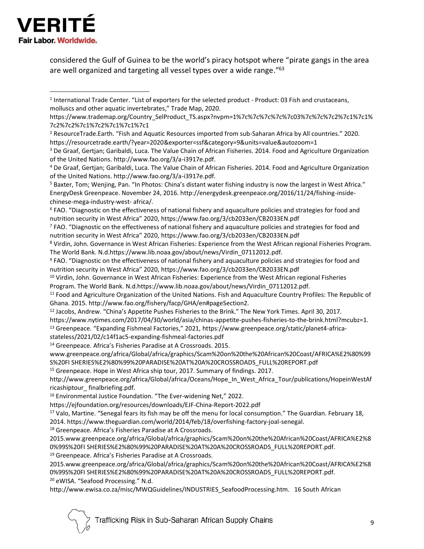

considered the Gulf of Guinea to be the world's piracy hotspot where "pirate gangs in the area are well organized and targeting all vessel types over a wide range."<sup>63</sup>

 $7$  FAO. "Diagnostic on the effectiveness of national fishery and aquaculture policies and strategies for food and nutrition security in West Africa" 2020, https://www.fao.org/3/cb2033en/CB2033EN.pdf

<sup>8</sup> Virdin, John. Governance in West African Fisheries: Experience from the West African regional Fisheries Program. The World Bank. N.d.https://www.lib.noaa.gov/about/news/Virdin\_07112012.pdf.

<sup>9</sup> FAO. "Diagnostic on the effectiveness of national fishery and aquaculture policies and strategies for food and nutrition security in West Africa" 2020, https://www.fao.org/3/cb2033en/CB2033EN.pdf

<sup>10</sup> Virdin, John. Governance in West African Fisheries: Experience from the West African regional Fisheries Program. The World Bank. N.d.https://www.lib.noaa.gov/about/news/Virdin\_07112012.pdf.

<sup>11</sup> Food and Agriculture Organization of the United Nations. Fish and Aquaculture Country Profiles: The Republic of Ghana. 2015. http://www.fao.org/fishery/facp/GHA/en#pageSection2.

- <sup>12</sup> Jacobs, Andrew. "China's Appetite Pushes Fisheries to the Brink." The New York Times. April 30, 2017.
- https://www.nytimes.com/2017/04/30/world/asia/chinas-appetite-pushes-fisheries-to-the-brink.html?mcubz=1.

<sup>13</sup> Greenpeace. "Expanding Fishmeal Factories," 2021, https://www.greenpeace.org/static/planet4-africa-

- stateless/2021/02/c14f1ac5-expanding-fishmeal-factories.pdf
- <sup>14</sup> Greenpeace. Africa's Fisheries Paradise at A Crossroads. 2015.

www.greenpeace.org/africa/Global/africa/graphics/Scam%20on%20the%20African%20Coast/AFRICA%E2%80%99 S%20FI SHERIES%E2%80%99%20PARADISE%20AT%20A%20CROSSROADS\_FULL%20REPORT.pdf

<sup>15</sup> Greenpeace. Hope in West Africa ship tour, 2017. Summary of findings. 2017.

http://www.greenpeace.org/africa/Global/africa/Oceans/Hope\_In\_West\_Africa\_Tour/publications/HopeinWestAf ricashiptour\_ finalbriefing.pdf.

<sup>16</sup> Environmental Justice Foundation. "The Ever-widening Net," 2022.

https://ejfoundation.org/resources/downloads/EJF-China-Report-2022.pdf

<sup>17</sup> Valo, Martine. "Senegal fears its fish may be off the menu for local consumption." The Guardian. February 18,

2014. https://www.theguardian.com/world/2014/feb/18/overfishing-factory-joal-senegal.

<sup>18</sup> Greenpeace. Africa's Fisheries Paradise at A Crossroads.

2015.www.greenpeace.org/africa/Global/africa/graphics/Scam%20on%20the%20African%20Coast/AFRICA%E2%8 0%99S%20FI SHERIES%E2%80%99%20PARADISE%20AT%20A%20CROSSROADS\_FULL%20REPORT.pdf.

<sup>19</sup> Greenpeace. Africa's Fisheries Paradise at A Crossroads.

2015.www.greenpeace.org/africa/Global/africa/graphics/Scam%20on%20the%20African%20Coast/AFRICA%E2%8 0%99S%20FI SHERIES%E2%80%99%20PARADISE%20AT%20A%20CROSSROADS\_FULL%20REPORT.pdf. <sup>20</sup> eWISA. "Seafood Processing." N.d.

http://www.ewisa.co.za/misc/MWQGuidelines/INDUSTRIES\_SeafoodProcessing.htm. 16 South African

<sup>1</sup> International Trade Center. "List of exporters for the selected product - Product: 03 Fish and crustaceans, molluscs and other aquatic invertebrates," Trade Map, 2020.

https://www.trademap.org/Country\_SelProduct\_TS.aspx?nvpm=1%7c%7c%7c%7c%7c03%7c%7c%7c2%7c1%7c1% 7c2%7c2%7c1%7c2%7c1%7c1%7c1

<sup>2</sup> ResourceTrade.Earth. "Fish and Aquatic Resources imported from sub-Saharan Africa by All countries." 2020. https://resourcetrade.earth/?year=2020&exporter=ssf&category=9&units=value&autozoom=1

<sup>3</sup> De Graaf, Gertjan; Garibaldi, Luca. The Value Chain of African Fisheries. 2014. Food and Agriculture Organization of the United Nations. http://www.fao.org/3/a-i3917e.pdf.

<sup>4</sup> De Graaf, Gertjan; Garibaldi, Luca. The Value Chain of African Fisheries. 2014. Food and Agriculture Organization of the United Nations. http://www.fao.org/3/a-i3917e.pdf.

<sup>5</sup> Baxter, Tom; Wenjing, Pan. "In Photos: China's distant water fishing industry is now the largest in West Africa." EnergyDesk Greenpeace. November 24, 2016. http://energydesk.greenpeace.org/2016/11/24/fishing-insidechinese-mega-industry-west- africa/.

<sup>6</sup> FAO. "Diagnostic on the effectiveness of national fishery and aquaculture policies and strategies for food and nutrition security in West Africa" 2020, https://www.fao.org/3/cb2033en/CB2033EN.pdf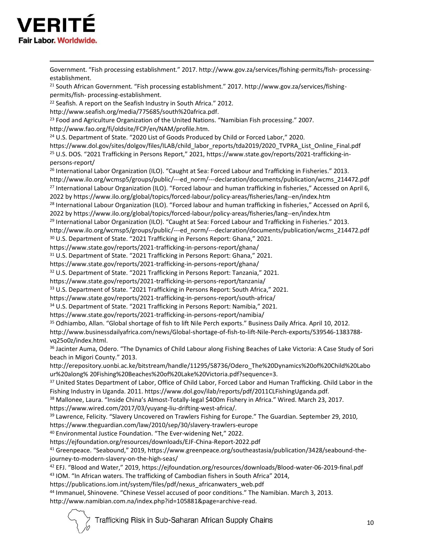

Government. "Fish processing establishment." 2017. http://www.gov.za/services/fishing-permits/fish- processingestablishment. <sup>21</sup> South African Government. "Fish processing establishment." 2017. http://www.gov.za/services/fishingpermits/fish- processing-establishment. <sup>22</sup> Seafish. A report on the Seafish Industry in South Africa." 2012. http://www.seafish.org/media/775685/south%20africa.pdf. <sup>23</sup> Food and Agriculture Organization of the United Nations. "Namibian Fish processing." 2007. http://www.fao.org/fi/oldsite/FCP/en/NAM/profile.htm. <sup>24</sup> U.S. Department of State. "2020 List of Goods Produced by Child or Forced Labor," 2020. https://www.dol.gov/sites/dolgov/files/ILAB/child\_labor\_reports/tda2019/2020\_TVPRA\_List\_Online\_Final.pdf <sup>25</sup> U.S. DOS. "2021 Trafficking in Persons Report," 2021, https://www.state.gov/reports/2021-trafficking-inpersons-report/ <sup>26</sup> International Labor Organization (ILO). "Caught at Sea: Forced Labour and Trafficking in Fisheries." 2013. http://www.ilo.org/wcmsp5/groups/public/---ed\_norm/---declaration/documents/publication/wcms\_214472.pdf <sup>27</sup> International Labour Organization (ILO). "Forced labour and human trafficking in fisheries," Accessed on April 6, 2022 by https://www.ilo.org/global/topics/forced-labour/policy-areas/fisheries/lang--en/index.htm <sup>28</sup> International Labour Organization (ILO). "Forced labour and human trafficking in fisheries," Accessed on April 6, 2022 by https://www.ilo.org/global/topics/forced-labour/policy-areas/fisheries/lang--en/index.htm <sup>29</sup> International Labor Organization (ILO). "Caught at Sea: Forced Labour and Trafficking in Fisheries." 2013. http://www.ilo.org/wcmsp5/groups/public/---ed\_norm/---declaration/documents/publication/wcms\_214472.pdf <sup>30</sup> U.S. Department of State. "2021 Trafficking in Persons Report: Ghana," 2021. https://www.state.gov/reports/2021-trafficking-in-persons-report/ghana/ <sup>31</sup> U.S. Department of State. "2021 Trafficking in Persons Report: Ghana," 2021. https://www.state.gov/reports/2021-trafficking-in-persons-report/ghana/ <sup>32</sup> U.S. Department of State. "2021 Trafficking in Persons Report: Tanzania," 2021. https://www.state.gov/reports/2021-trafficking-in-persons-report/tanzania/ 33 U.S. Department of State. "2021 Trafficking in Persons Report: South Africa," 2021. https://www.state.gov/reports/2021-trafficking-in-persons-report/south-africa/ <sup>34</sup> U.S. Department of State. "2021 Trafficking in Persons Report: Namibia," 2021. https://www.state.gov/reports/2021-trafficking-in-persons-report/namibia/ <sup>35</sup> Odhiambo, Allan. "Global shortage of fish to lift Nile Perch exports." Business Daily Africa. April 10, 2012. http://www.businessdailyafrica.com/news/Global-shortage-of-fish-to-lift-Nile-Perch-exports/539546-1383788 vq25o0z/index.html. <sup>36</sup> Jacinter Auma, Odero. "The Dynamics of Child Labour along Fishing Beaches of Lake Victoria: A Case Study of Sori beach in Migori County." 2013. http://erepository.uonbi.ac.ke/bitstream/handle/11295/58736/Odero\_The%20Dynamics%20of%20Child%20Labo ur%20along% 20Fishing%20Beaches%20of%20Lake%20Victoria.pdf?sequence=3. <sup>37</sup> United States Department of Labor, Office of Child Labor, Forced Labor and Human Trafficking. Child Labor in the Fishing Industry in Uganda. 2011. https://www.dol.gov/ilab/reports/pdf/2011CLFishingUganda.pdf. <sup>38</sup> Mallonee, Laura. "Inside China's Almost-Totally-legal \$400m Fishery in Africa." Wired. March 23, 2017. https://www.wired.com/2017/03/yuyang-liu-drifting-west-africa/. <sup>39</sup> Lawrence, Felicity. "Slavery Uncovered on Trawlers Fishing for Europe." The Guardian. September 29, 2010, https://www.theguardian.com/law/2010/sep/30/slavery-trawlers-europe <sup>40</sup> Environmental Justice Foundation. "The Ever-widening Net," 2022. https://ejfoundation.org/resources/downloads/EJF-China-Report-2022.pdf <sup>41</sup> Greenpeace. "Seabound," 2019, https://www.greenpeace.org/southeastasia/publication/3428/seabound-thejourney-to-modern-slavery-on-the-high-seas/ <sup>42</sup> EFJ. "Blood and Water," 2019, https://ejfoundation.org/resources/downloads/Blood-water-06-2019-final.pdf 43 IOM. "In African waters. The trafficking of Cambodian fishers in South Africa" 2014, https://publications.iom.int/system/files/pdf/nexus\_africanwaters\_web.pdf <sup>44</sup> Immanuel, Shinovene. "Chinese Vessel accused of poor conditions." The Namibian. March 3, 2013.

http://www.namibian.com.na/index.php?id=105881&page=archive-read.